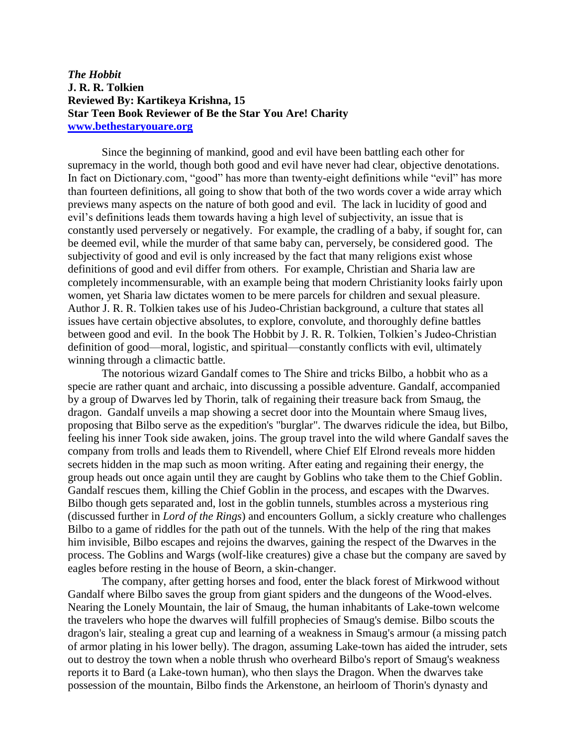## *The Hobbit* **J. R. R. Tolkien Reviewed By: Kartikeya Krishna, 15 Star Teen Book Reviewer of Be the Star You Are! Charity [www.bethestaryouare.org](http://www.bethestaryouare.org/)**

Since the beginning of mankind, good and evil have been battling each other for supremacy in the world, though both good and evil have never had clear, objective denotations. In fact on Dictionary.com, "good" has more than twenty-eight definitions while "evil" has more than fourteen definitions, all going to show that both of the two words cover a wide array which previews many aspects on the nature of both good and evil. The lack in lucidity of good and evil's definitions leads them towards having a high level of subjectivity, an issue that is constantly used perversely or negatively. For example, the cradling of a baby, if sought for, can be deemed evil, while the murder of that same baby can, perversely, be considered good. The subjectivity of good and evil is only increased by the fact that many religions exist whose definitions of good and evil differ from others. For example, Christian and Sharia law are completely incommensurable, with an example being that modern Christianity looks fairly upon women, yet Sharia law dictates women to be mere parcels for children and sexual pleasure. Author J. R. R. Tolkien takes use of his Judeo-Christian background, a culture that states all issues have certain objective absolutes, to explore, convolute, and thoroughly define battles between good and evil. In the book The Hobbit by J. R. R. Tolkien, Tolkien's Judeo-Christian definition of good—moral, logistic, and spiritual—constantly conflicts with evil, ultimately winning through a climactic battle.

The notorious wizard Gandalf comes to The Shire and tricks Bilbo, a hobbit who as a specie are rather quant and archaic, into discussing a possible adventure. Gandalf, accompanied by a group of Dwarves led by Thorin, talk of regaining their treasure back from Smaug, the dragon. Gandalf unveils a map showing a secret door into the Mountain where Smaug lives, proposing that Bilbo serve as the expedition's "burglar". The dwarves ridicule the idea, but Bilbo, feeling his inner Took side awaken, joins. The group travel into the wild where Gandalf saves the company from trolls and leads them to Rivendell, where Chief Elf Elrond reveals more hidden secrets hidden in the map such as moon writing. After eating and regaining their energy, the group heads out once again until they are caught by Goblins who take them to the Chief Goblin. Gandalf rescues them, killing the Chief Goblin in the process, and escapes with the Dwarves. Bilbo though gets separated and, lost in the goblin tunnels, stumbles across a mysterious ring (discussed further in *Lord of the Rings*) and encounters Gollum, a sickly creature who challenges Bilbo to a game of riddles for the path out of the tunnels. With the help of the ring that makes him invisible, Bilbo escapes and rejoins the dwarves, gaining the respect of the Dwarves in the process. The Goblins and Wargs (wolf-like creatures) give a chase but the company are saved by eagles before resting in the house of Beorn, a skin-changer.

The company, after getting horses and food, enter the black forest of Mirkwood without Gandalf where Bilbo saves the group from giant spiders and the dungeons of the Wood-elves. Nearing the Lonely Mountain, the lair of Smaug, the human inhabitants of Lake-town welcome the travelers who hope the dwarves will fulfill prophecies of Smaug's demise. Bilbo scouts the dragon's lair, stealing a great cup and learning of a weakness in Smaug's armour (a missing patch of armor plating in his lower belly). The dragon, assuming Lake-town has aided the intruder, sets out to destroy the town when a noble thrush who overheard Bilbo's report of Smaug's weakness reports it to Bard (a Lake-town human), who then slays the Dragon. When the dwarves take possession of the mountain, Bilbo finds the Arkenstone, an heirloom of Thorin's dynasty and